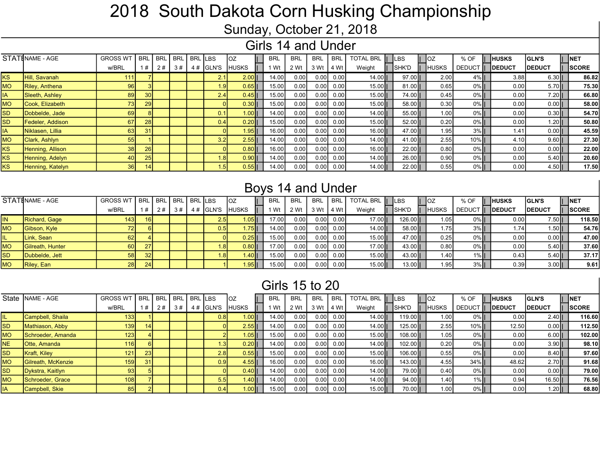# 2018 South Dakota Corn Husking Championship

Sunday, October 21, 2018

### Girls 14 and Under

|             | STATINAME - AGE       | <b>GROSS WT</b> | <b>BRI</b>      | <b>BRI</b> | <b>BRL</b> | <b>BRL</b> | <b>ILBS</b>      | loz          | BRL   | <b>BRL</b> | <b>BRL</b> | <b>BRL</b> | <b>TOTAL BRL</b> | <b>ILBS</b>  | lOZ               | % OF          | <b>HUSKS</b>   | <b>GLN'S</b>   | INET         |
|-------------|-----------------------|-----------------|-----------------|------------|------------|------------|------------------|--------------|-------|------------|------------|------------|------------------|--------------|-------------------|---------------|----------------|----------------|--------------|
|             |                       | w/BRL           | 1#              | 2#         | 3#         | 4#         | <b>GLN'S</b>     | <b>HUSKS</b> | l Wt  | 2 Wt       | 3 Wt       | 4 Wt       | Weight           | <b>SHK'D</b> | <b>IUSKS</b>      | <b>DEDUCT</b> | <b>IDEDUCT</b> | <b>IDEDUCT</b> | <b>SCORE</b> |
| <b>I</b> KS | <b>Hill, Savanah</b>  | 111             |                 |            |            |            | 2.1              | $2.00$       | 14.00 | 0.00       | 0.00       | 0.00       | $14.00$          | $97.00$      | 2.00              | 4%            | 3.88           | $6.30$         | 86.82        |
| <b>IMO</b>  | <b>Riley, Anthena</b> | 96              |                 |            |            |            | l.9l             | $0.65$       | 15.00 | 0.00       | 0.00       | 0.00       | $15.00$          | $81.00$      | 0.65              | 0%            | 0.00           | $5.70$         | 75.30        |
| <b>IA</b>   | Sleeth, Ashley        | 89              | 30 <sub>1</sub> |            |            |            | 2.4              | $0.45$       | 15.00 | 0.00       | 0.00       | 0.00       | $15.00$          | 74.00        | 0.45              | 0%            | 0.00           | $7.20$         | 66.80        |
| <b>MO</b>   | Cook. Elizabeth       | 73              | 29              |            |            |            |                  | $0.30$       | 15.00 | 0.00       | 0.00       | 0.00       | $15.00$          | $58.00$      | 0.30              | 0%            | 0.00           | $0.00$         | 58.00        |
| <b>SD</b>   | Dobbelde, Jade        | 69              |                 |            |            |            | 0.1              | 1.00II       | 14.00 | 0.00       | 0.00       | 0.00       | $14.00$          | 55.00        | 1.00              | 0%            | 0.00           | $0.30$         | 54.70        |
| <b>SD</b>   | Fedeler, Addison      | 67              | 28              |            |            |            | 0.41             | $0.20$       | 15.00 | 0.00       | 0.00       | 0.00       | $15.00$          | 52.00        | 0.20              | 0%            | 0.00           | $1.20$         | 50.80        |
| <b>IA</b>   | Niklasen, Lillia      | 63              | 31              |            |            |            |                  | 1.95         | 16.00 | 0.00       | 0.00       | 0.00       | $16.00$          | 47.00        | 1.95 <sub>1</sub> | 3%            | 1.41           | $0.00$         | 45.59        |
| <b>MO</b>   | <b>Clark, Ashlyn</b>  | 55              |                 |            |            |            | 3.2 <sub>l</sub> | $2.55$       | 14.00 | 0.00       | 0.001      | 0.00       | $14.00$          | 41.00        | 2.55              | $10\%$        | 4.10           | $9.60$         | 27.30        |
| <b>I</b> KS | Henning, Allison      | 38              | 26              |            |            |            |                  | 0.8011       | 16.00 | 0.00       | 0.00       | 0.00       | $16.00$          | 22.00        | 0.80              | 0%            | 0.00           | $0.00$         | 22.00        |
| <b>IKS</b>  | Henning, Adelyn       | 40              | 25              |            |            |            | 1.8              | $0.90$       | 14.00 | 0.00       | 0.00       | 0.00       | $14.00$          | $26.00$      | 0.90              | $0\%$         | 0.00           | $5.40$         | 20.60        |
| <b>I</b> KS | Henning, Katelyn      | 36I             | 141             |            |            |            |                  | $0.55$       | 14.00 | 0.00       | 0.00       | 0.00       | $14.00$          | 22.00        | 0.55              | 0%            | 0.00           | 4.5011         | 17.50        |

### Boys 14 and Under

|           | STATINAME - AGE          | GROSS WT   BRL   BRL   BRL   BRL   LBS |     |    |    |            | TOZ           | <b>BRL</b> | <b>BRL</b> | <b>BRL</b> | BRL I | TOTAL BRL   LBS |          |              | % OF               | <b>HUSKS</b>   | <b>IGLN'S</b> | <b>INET</b>  |        |
|-----------|--------------------------|----------------------------------------|-----|----|----|------------|---------------|------------|------------|------------|-------|-----------------|----------|--------------|--------------------|----------------|---------------|--------------|--------|
|           |                          | w/BRL                                  |     | 2# | 3# | $4#$ GLN'S | <b>IHUSKS</b> | l Wt       | 2 Wt       | 3 Wt       | 4 Wt  | Weight          | SHK'D    | <b>HUSKS</b> | <b>DEDUCT</b><br>Ш | <b>IDEDUCT</b> | <b>DEDUCT</b> | <b>SCORE</b> |        |
| IN        | Richard, Gage            | 143 I                                  | 16I |    |    | 2.5        | $.05$ II      | 17.00      | 0.00       | 0.00       | 0.00  | $17.00$         | $126.00$ | 1.05         | $0\%$              | 0.00           | '.50∥ \       |              | 118.50 |
| <b>MO</b> | Gibson, Kyle             | 72II                                   |     |    |    | 0.5        | $.75$ II      | 14.00      | 0.001      | 0.00       | 0.00  | $14.00$         | 58.001   | 1.75         | $3\%$              | 1.74           | $1.50$        |              | 54.76  |
|           | Link, Sean               | 62 I                                   |     |    |    |            | $0.25$        | 15.00      | 0.00       | 0.00       | 0.00  | $15.00$         | 47.00    | 0.25         | $0\%$              | 0.00           | $0.00$        |              | 47.00  |
| <b>MO</b> | <b>IGilreath. Hunter</b> | 60 l                                   | 27  |    |    |            | $0.80$        | 17.00      | 0.00       | 0.00       | 0.00  | $17.00$         | 43.00    | 0.80         | $0\%$              | 0.00           | $5.40$        |              | 37.60  |
| <b>SD</b> | Dubbelde, Jett           | 58 <sup>1</sup>                        | 32  |    |    |            | l.40          | 15.00      | 0.00       | 0.00       | 0.00  | $15.00$         | $43.00$  | 1.40         | $1\%$              | 0.43           | $5.40$        |              | 37.17  |
| <b>MO</b> | Riley, Ean               | 28 <sup>1</sup>                        | 24  |    |    |            | I.95          | 15.00      | 0.00       | 0.00       | 0.00  | $15.00$         | $13.00$  | 1.95         | $3\%$              | 0.39           | $3.00$        |              | 9.61   |

### Girls 15 to 20

|           | State   NAME - AGE  | <b>GROSS WT</b>  | <b>BRL</b>      | ' BRL | BRL   BRL   LBS |    |                  | loz           | <b>BRL</b> | <b>BRL</b> | <b>BRL</b>        | <b>BRL</b> | <b>TOTAL BRL</b> | <b>ILBS</b> | -loz         | % OF      | <b>HUSKS</b>   | <b>IGLN'S</b> | INET   |
|-----------|---------------------|------------------|-----------------|-------|-----------------|----|------------------|---------------|------------|------------|-------------------|------------|------------------|-------------|--------------|-----------|----------------|---------------|--------|
|           |                     | w/BRL            |                 | 2#    | 3#              | 4# | IGLN'S           | <b>IHUSKS</b> | Wt         | 2 Wt       | 3 Wt              | 4 Wt       | Weight           | ISHK'D      | <b>HUSKS</b> | DEDUCT II | <b>IDEDUCT</b> | <b>DEDUCT</b> | ISCORE |
|           | Campbell, Shaila    | 133 <sub>1</sub> |                 |       |                 |    | 0.8 <sub>l</sub> | $1.00$        | 14.00      | 0.00       | 0.00              | 0.001      | $14.00$          | 119.00      | 1.00         | $0\%$     | 0.00           | 2.40II        | 116.60 |
| <b>SD</b> | Mathiason, Abby     | 139              | 14 I            |       |                 |    |                  | $2.55$        | 14.00      | 0.00       | 0.00 <sub>l</sub> | 0.00       | $14.00$          | $125.00$    | 2.55         | $10\%$    | 12.50          | $0.00$        | 112.50 |
| <b>MO</b> | Schroeder, Amanda   | 123              |                 |       |                 |    |                  | $.05$         | 15.00      | 0.00       | 0.00              | 0.00       | $15.00$          | 108.00      | 1.05         | $0\%$     | 0.00           | $6.00$        | 102.00 |
| <b>NE</b> | <b>Otte, Amanda</b> | 116              |                 |       |                 |    | 1.3I             | $0.20$        | 14.00      | 0.00       | 0.00              | 0.00       | 14.00            | $102.00$    | 0.20         | $0\%$     | 0.00           | $3.90$        | 98.10  |
| <b>SD</b> | Kraft, Kiley        | 121              | 23              |       |                 |    | 2.8              | $0.55$        | 15.00      | 0.00       | 0.00              | 0.00       | $15.00$          | $106.00$    | 0.55         | $0\%$     | 0.00           | $8.40$        | 97.60  |
| <b>MO</b> | Gilreath, McKenzie  | 159              | 31 <sup>1</sup> |       |                 |    | 0.9              | $4.55$        | 16.00      | 0.00       | 0.00 <sub>l</sub> | 0.001      | $16.00$          | $143.00$    | 4.55         | $34\%$    | 48.62          | 2.7011        | 91.68  |
| SD        | Dykstra, Kaitlyn    | 93               |                 |       |                 |    |                  | $0.40$        | 14.00      | 0.00       | 0.00              | 0.00       | 14.00            | 79.001      | 0.40         | $0\%$     | 0.00           | $0.00$        | 79.00  |
| <b>MO</b> | Schroeder, Grace    | 108              |                 |       |                 |    | 5.5              | 1.40 II       | 14.00      | 0.00       | 0.00              | 0.00       | 14.00            | 94.001      | 1.40         | $1\%$     | 0.94           | 16.50II       | 76.56  |
| IA        | Campbell, Skie      | 85               |                 |       |                 |    | 0.41             | $1.00$        | 15.00      | 0.00       | 0.00 <sub>l</sub> | 0.00       | $15.00$          | 70.00       | 1.00         | $0\%$     | 0.00           | l.2011        | 68.80  |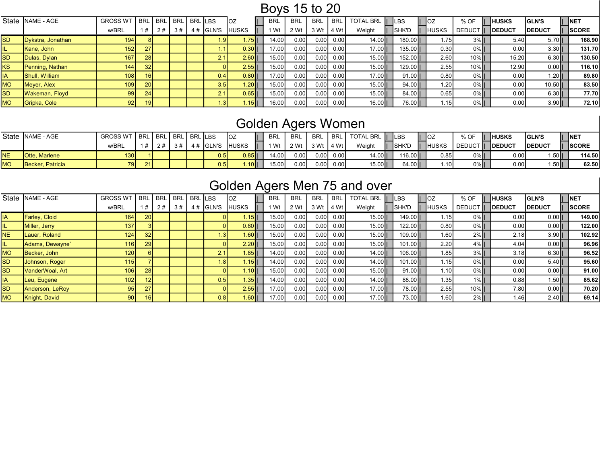## Boys 15 to 20

|                | State   NAME - AGE | <b>GROSS WT</b>  | <b>BRL</b>      | <b>BRL</b> | l BRL l | BRL LBS |                  | OZ           | BRL                | <b>BRL</b> | <b>BRL</b>        | <b>BRL</b> | <b>TOTAL BRL</b> | <b>ILBS</b> |              | <b>IOZ</b>        | % OF          | <b>HUSKS</b>   | <b>GLN'S</b>   | <b>NET</b>    |
|----------------|--------------------|------------------|-----------------|------------|---------|---------|------------------|--------------|--------------------|------------|-------------------|------------|------------------|-------------|--------------|-------------------|---------------|----------------|----------------|---------------|
|                |                    | w/BRL            | 1#              | 2#         | 3#      |         | $4#$ GLN'S       | <b>IUSKS</b> | 1 Wt               | 2 Wt       | 3 Wt              | 4 Wt       | Weight           |             | <b>SHK'D</b> | <b>HUSKS</b>      | <b>DEDUCT</b> | <b>IDEDUCT</b> | <b>IDEDUCT</b> | <b>ISCORE</b> |
| <b>SD</b>      | Dykstra, Jonathan  | 194 <sup>1</sup> |                 |            |         |         | 1.9              | $.75$ II     | 14.00              | 0.00       | 0.00              | 0.00       | $14.00$          |             | $180.00$     | 1.75              | $3%$ II       | 5.40           | $5.70$         | 168.90        |
|                | Kane, John         | 152              | 27              |            |         |         |                  | 0.30 II      | 17.00              | 0.00       | 0.00              | 0.00       | $17.00$          |             | 135.00       | 0.30              | 0%II          | 0.00           | $3.30$         | <b>131.70</b> |
| <b>SD</b>      | Dulas, Dylan       | 167              | <b>28</b>       |            |         |         | 2.1              | 2.6011       | 15.00              | 0.00       | 0.00              | 0.00       | $15.00$          |             | $152.00$     | 2.60              | $10\%$ II     | 15.20          | $6.30$         | 130.50        |
| KS <sup></sup> | Penning, Nathan    | 144              | 32              |            |         |         |                  | 2.55II       | 15.00              | 0.00       | 0.00              | 0.00       | $15.00$          |             | $129.00$     | 2.55.             | $10\%$ II     | 12.90          | $0.00$         | <b>116.10</b> |
| ΙA             | Shull, William     | 108 <sup>1</sup> | 16 <sup>1</sup> |            |         |         | 0.4              | $0.80$       | 17.00 <sub>1</sub> | 0.00       | 0.00 <sub>l</sub> | 0.00       | 17.00            |             | $91.00$      | 0.80              | 0%            | 0.00           | $.20$          | 89.80         |
| <b>MO</b>      | Meyer, Alex        | 109 <sup>1</sup> | <b>20</b>       |            |         |         | 3.5              | $.20$ II     | 15.00              | 0.00       | 0.00              | 0.00       | 15.00            |             | $94.00$      | 1.20              | $0\%$ II      | 0.00           | $10.50$        | 83.50         |
| <b>SD</b>      | Wakeman, Floyd     | 99 I             | 24              |            |         |         | 2.1              | $9.65$       | 15.00              | 0.00       | 0.00              | 0.00       | 15.00            |             | 84.00        | 0.65              | 0%            | 0.00           | $6.30$         | 77.70         |
| <b>MO</b>      | Gripka, Cole       | 92               | 19 <sup>l</sup> |            |         |         | 1.3 <sub>1</sub> | $15$ II      | 16.00              | 0.00       | 0.00              | 0.00       | $16.00$          |             | 76.00        | 1.15 <sub>1</sub> | 0%            | 0.00           | $3.90$         | 72.10         |

# Golden Agers Women

|           | State INAME - AGE    | <b>GROSS WT I BRL</b> |      | L BRL BRL BRL LBS |     |                | <b>IOZ</b> |              | <b>BRL</b> | BRL  | <b>BRL</b>    |      | <b>BRL TOTAL BRL II LBS</b> |               | <b>IOZ</b>   | % OF              | <b>IHUSKS</b> | <b>GLN'S</b>   | <b>NET</b>   |
|-----------|----------------------|-----------------------|------|-------------------|-----|----------------|------------|--------------|------------|------|---------------|------|-----------------------------|---------------|--------------|-------------------|---------------|----------------|--------------|
|           |                      | w/BRL                 |      | 2#1               | 3#1 | 4# GLN'S HUSKS |            | $\mathbf{H}$ | 1 Wt       | 2 Wt | 3 Wt 1 4 Wt 1 |      | Weight                      | <b>ISHK'D</b> | <b>HUSKS</b> | DEDUCT     DEDUCT |               | <b>IDEDUC1</b> | <b>SCORE</b> |
| NE        | <b>Otte, Marlene</b> | 130                   |      |                   |     | 0.5            | $0.85$     |              | 14.00      | 0.00 | 0.00          | 0.00 | $14.00$                     | 116.00        | 0.85         | 0%                | 0.00          | 1.50           | 114.50       |
| <b>MO</b> | Becker, Patricia     |                       | 21 I |                   |     | 0.5            | 10         |              | 15.00      | 0.00 | 0.00          | 0.00 | $15.00$                     | 64.00         | .101         | $0\%$             | 0.00          | $.50$          | 62.50        |

# Golden Agers Men 75 and over

|           | State INAME - AGE    | <b>GROSS WT</b> | <b>BRL</b>      | <b>BRL</b> | <b>BRL</b> | BRL LBS |               |           | <b>BRL</b> | <b>BRL</b> | <b>BRL</b> | <b>BRL</b> | <b>TOTAL BRL</b> | <b>ILBS</b> | <b>IOZ</b>        | % OF          | <b>HUSKS</b>      | <b>IGLN'S</b> | <b>NET</b> |              |
|-----------|----------------------|-----------------|-----------------|------------|------------|---------|---------------|-----------|------------|------------|------------|------------|------------------|-------------|-------------------|---------------|-------------------|---------------|------------|--------------|
|           |                      | w/BRL           | 1#              | 2#         | 3#         | 4#      | <b>IGLN'S</b> | HUSKS     | 1 Wt       | 2 Wt       | 3 W1       | 4 Wt       | Weight           | ISHK'D      | <b>HUSKS</b>      | <b>DEDUCT</b> | <b>IDEDUCT</b>    | <b>DEDUCT</b> |            | <b>SCORE</b> |
| ΙA        | <b>Farley, Cloid</b> | 164             | <b>20</b>       |            |            |         |               | 1.15II    | 15.00      | 0.00       | 0.001      | 0.00       | 15.00            | 149.00      | 1.15              | $0\%$         | 0.00              | 0.00          |            | 149.00       |
| L.        | Miller, Jerry        | 137             |                 |            |            |         |               | $0.80$    | 15.00      | 0.00       | 0.001      | 0.00       | 15.00            | $122.00$    | 0.80              | $0\%$         | 0.00              | $0.00$        |            | 122.00       |
| <b>NE</b> | Lauer, Roland        | 124             | 32              |            |            |         | .3V           | 1.60 II   | 15.00      | 0.00       | 0.00       | 0.00       | 15.00            | $109.00$    | 1.60 <sub>1</sub> | $2\%$         | 2.18              | $3.90$        |            | 102.92       |
|           | Adams, Dewayne`      | 16              | 29              |            |            |         |               | $2.20$    | 15.00      | 0.00       | 0.00       | 0.00       | 15.00            | $101.00$    | 2.20              | $4\%$         | 4.04              | 0.0011        |            | 96.96        |
| <b>MO</b> | Becker, John         | 120             |                 |            |            |         | 2.1           | ⊦.85 II   | 14.00      | 0.00       | 0.00       | 0.00       | 14.00            | $106.00$    | 1.85              | $3\%$         | 3.18              | $6.30$        |            | 96.52        |
| <b>SD</b> | Johnson, Roger       | 115             |                 |            |            |         | l.81          | 1.15II    | 14.00      | 0.00       | 0.00       | 0.00       | 14.00            | $101.00$    | 1.15              | $0\%$         | 0.00              | $5.40$        |            | 95.60        |
| <b>SD</b> | VanderWoal, Art      | 106             | <b>28</b>       |            |            |         |               | 1.10II.   | 15.00      | 0.00       | 0.00       | 0.00       | 15.00            | 91.00II     | 1.10              | $0\%$         | 0.00              | $0.00$        |            | 91.00        |
| ΙA        | Leu, Eugene          | 102             | 12 <sub>1</sub> |            |            |         | 0.5           | $.35$ II  | 14.00      | 0.00       | 0.00       | 0.00       | 14.00            | $88.00$     | 1.35              | $1\%$         | 0.88              | 1.50 II       |            | 85.62        |
| <b>SD</b> | Anderson, LeRoy      | 95 <sub>1</sub> | 27              |            |            |         |               | $2.55$ II | 17.00      | 0.00       | 0.00       | 0.00       | 17.00            | 78.00II     | 2.55              | $10\%$        | 7.80              | 0.0011        |            | 70.20        |
| <b>MO</b> | Knight, David        | 90 <sup>1</sup> | 16 <sub>l</sub> |            |            |         | 0.8           | 1.60 II   | 17.00      | 0.00       | 0.00       | 0.00       | 17.00            | 73.0011     | 1.60              | $2\%$         | 1.46 <sub>1</sub> | $2.40$        |            | 69.14        |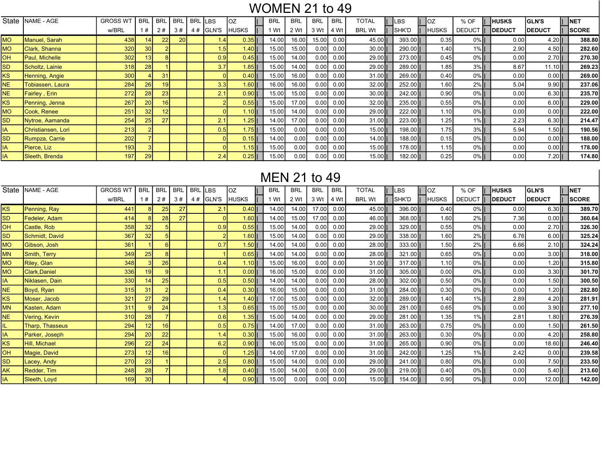## WOMEN 21 to 49

| State     | <b>NAME - AGE</b>     | <b>GROSS WT</b> | <b>BRL</b>      | <b>BRL</b>      | <b>BRL</b> | <b>BRL</b> | _BS              | loz            | BRL   | <b>BRL</b> | <b>BRL</b> | <b>BRL</b> | TOTAL         | LBS      | ΟZ                | % OF          | IHUSKS         | <b>IGLN'S</b>  | <b>INET</b>   |
|-----------|-----------------------|-----------------|-----------------|-----------------|------------|------------|------------------|----------------|-------|------------|------------|------------|---------------|----------|-------------------|---------------|----------------|----------------|---------------|
|           |                       | w/BRL           | l#              | 2#              | 3#         | 4#         | <b>GLN'S</b>     | <b>HUSKS</b>   | l Wt  | 2 Wt       | 3 Wt       | 4 Wt       | <b>BRL Wt</b> | ISHK'D   | HUSKS             | <b>DEDUCT</b> | <b>IDEDUCT</b> | <b>IDEDUCT</b> | <b>ISCORE</b> |
| <b>MO</b> | Manuel, Sarah         | 438 <b>I</b>    |                 | 22              | 20         |            | 1.41             | $0.35$         | 14.00 | 16.00      | 15.00      | 0.00       | 45.00         | 393.00   | 0.35              | $0\%$         | 0.00           | $4.20$         | 388.80        |
| <b>MO</b> | Clark, Shanna         | 320             | 30 <sup>1</sup> |                 |            |            | 1.5              | 1.40 II        | 15.00 | 15.00      | 0.00       | 0.00       | $30.00$       | 290.00   | 1.40              | $1\%$         | 2.90           | $4.50$         | 282.60        |
| OН        | <b>Paul. Michelle</b> | 302             | 13 <sup>1</sup> |                 |            |            | 0.9 <sub>l</sub> | $0.45$         | 15.00 | 14.00      | 0.00       | 0.00       | 29.00         | 273.00   | 0.45              | $0\%$         | 0.00           | $2.70$         | 270.30        |
| SD        | Scholtz, Lainie       | 318             | 28              |                 |            |            | 3.7              | $1.85$         | 15.00 | 14.00      | 0.00       | 0.00       | 29.00         | 289.00   | 1.85              | $3\%$         | 8.67           | $11.10$        | 269.23        |
| ΚS        | Henning, Angie        | 300             |                 | 31              |            |            |                  | $0.40$         | 15.00 | 16.00      | 0.00       | 0.00       | $31.00$       | 269.00   | 0.40              | $0\%$         | 0.00           | $0.00$         | 269.00        |
| <b>NE</b> | Tobiassen, Laura      | 284             | 26              | 19              |            |            | 3.3 <sub>l</sub> | 1.60 II        | 16.00 | 16.00      | 0.00       | 0.00       | $32.00$       | 252.00   | 1.60 <sub>1</sub> | $2%$          | 5.04           | $9.90$         | 237.06        |
| NE.       | Fairley, Erin         | 272             | 28              | 23              |            |            | 2.1              | $0.90$         | 15.00 | 15.00      | 0.00       | 0.00       | $30.00$       | 242.00   | 0.90 <sub>1</sub> | $0\%$         | 0.00           | $6.30$         | 235.70        |
| KS.       | Penning, Jenna        | 267             | 20 <sup>1</sup> | 16 <sub>1</sub> |            |            |                  | $0.55$         | 15.00 | 17.00      | 0.00       | 0.00       | $32.00$       | 235.00   | 0.55              | $0\%$         | 0.00           | $6.00$         | 229.00        |
| <b>MO</b> | Cook. Renee           | 251             | 32              | 121             |            |            |                  | 1.10 II        | 15.00 | 14.00      | 0.00       | 0.00       | 29.00         | 222.00   | 1.10              | $0\%$         | 0.00           | $0.00$         | 222.00        |
| SD        | Nytroe, Aamanda       | 254             | 25              | 27              |            |            | 2.1              | $1.25$         | 14.00 | 17.00      | 0.00       | 0.00       | $31.00$       | 223.00   | 1.25              | $1%$          | 2.23           | $6.30$         | 214.47        |
| IA.       | Christiansen, Lori    | 213             |                 |                 |            |            | 0.5              | $1.75$         | 15.00 | 0.00       | 0.00       | 0.00       | $15.00$       | 198.00   | 1.75              | $3\%$         | 5.94           | $1.50$         | 190.56        |
| SD        | Rumpza, Carrie        | <b>2021</b>     |                 |                 |            |            |                  | $0.15$         | 14.00 | 0.00       | 0.00       | 0.00       | $14.00$       | 188.00II | 0.15              | $0\%$         | 0.00           | $0.00$         | 188.00        |
| IA        | Pierce, Liz           | 193             |                 |                 |            |            |                  | 1.15 <b>II</b> | 15.00 | 0.00       | 0.00       | 0.00       | $15.00$       | 178.00   | 1.15              | $0\%$         | 0.00           | $0.00$         | 178.00        |
| IA.       | Sleeth, Brenda        | 197             | 29              |                 |            |            | 2.4              | $0.25$         | 15.00 | 0.00       | 0.00       | 0.00       | $15.00$       | $182.00$ | 0.25              | $0\%$         | 0.00           | $7.20$         | 174.80        |

# MEN 21 to 49

| State     | NAME - AGE           | <b>GROSS WT</b> | <b>BRL</b>      | <b>BRL</b>     | <b>BRL</b> | <b>BRL</b> | <b>LBS</b>   | ΟZ           | <b>BRL</b> | <b>BRL</b> | <b>BRL</b> | <b>BRL</b> | TOTAL         | LBS      | loz          |      | % OF               | <b>HUSKS</b>  | <b>GLN'S</b>  | INET.        |
|-----------|----------------------|-----------------|-----------------|----------------|------------|------------|--------------|--------------|------------|------------|------------|------------|---------------|----------|--------------|------|--------------------|---------------|---------------|--------------|
|           |                      | w/BRL           | 1#              | 2#             | 3#         | 4#         | <b>GLN'S</b> | <b>HUSKS</b> | 1 Wt       | 2 Wt       | 3 Wt       | 4 Wt       | <b>BRL Wt</b> | ISHK'D   | <b>HUSKS</b> |      | <b>DEDUCT     </b> | <b>DEDUCT</b> | <b>DEDUCT</b> | <b>SCORE</b> |
| <b>KS</b> | Penning, Ray         | 441             |                 | 25             | 27         |            | 2.1          | $0.40$       | 14.00      | 14.00      | 17.00      | 0.00       | $45.00$       | 396.00   |              | 0.40 | $0\%$              | 0.00          | 6.30          | 389.70       |
| <b>SD</b> | Fedeler, Adam        | 414             |                 | 28             | 27         |            |              | $1.60$       | 14.00      | 15.00      | 17.00      | 0.00       | 46.00         | 368.00   |              | 1.60 | $2\%$              | 7.36          | 0.00          | 360.64       |
| <b>OH</b> | Castle, Rob          | 358             | 32              |                |            |            | 0.9          | $0.55$       | 15.00      | 14.00      | 0.00       | 0.00       | 29.00         | $329.00$ |              | 0.55 | $0\%$              | 0.00          | 2.70          | 326.30       |
| <b>SD</b> | Schmidt, David       | 367             | 32              |                |            |            |              | $1.60$       | 15.00      | 14.00      | 0.00       | 0.00       | 29.00         | $338.00$ |              | 1.60 | $2\%$              | 6.76          | 6.00          | 325.24       |
| <b>MO</b> | Gibson, Josh         | 361             |                 | 6 <sup>1</sup> |            |            | 0.7          | 1.50         | 14.00      | 14.00      | 0.00       | 0.00       | 28.00         | $333.00$ |              | 1.50 | $2\%$              | 6.66          | 2.10          | 324.24       |
| <b>MN</b> | Smith, Terry         | 349             | 25 <sub>1</sub> | 8              |            |            |              | $0.65$       | 14.00      | 14.00      | 0.00       | 0.00       | 28.00         | $321.00$ |              | 0.65 | $0\%$              | 0.00          | 3.00          | 318.00       |
| <b>MO</b> | Riley, Glan          | 348             |                 | 26             |            |            | 0.4          | 1.10         | 15.00      | 16.00      | 0.00       | 0.00       | $31.00$       | 317.001  |              | 1.10 | $0\%$              | 0.00          | 1.20          | 315.80       |
| <b>MO</b> | <b>Clark, Daniel</b> | 336             | 19 <sup>1</sup> |                |            |            | 1.1          | 0.0011       | 16.00      | 15.00      | 0.00       | 0.00       | $31.00$       | $305.00$ |              | 0.00 | $0\%$              | 0.00          | 3.30          | 301.70       |
| <b>IA</b> | Niklasen, Dain       | 330             | 14              | 25             |            |            | 0.5          | $0.50$       | 14.00      | 14.00      | 0.00       | 0.00       | 28.00         | $302.00$ |              | 0.50 | $0\%$              | 0.00          | 1.50          | 300.50       |
| <b>NE</b> | Boyd, Ryan           | 315             | 31              |                |            |            | 0.4          | $0.30$       | 16.00      | 15.00      | 0.00       | 0.00       | $31.00$       | 284.00   |              | 0.30 | $0\%$              | 0.00          | 1.20          | 282.80       |
| <b>KS</b> | Moser, Jacob         | 321             | 27              | 29             |            |            | 1.4          | $1.40$       | 17.00      | 15.00      | 0.00       | 0.00       | $32.00$       | 289.00   |              | 1.40 | $1\%$              | 2.89          | 4.20          | 281.91       |
| <b>MN</b> | Kasten, Adam         | 311             |                 | 24             |            |            | 1.3          | $0.65$       | 15.00      | 15.00      | 0.00       | 0.00       | $30.00$       | 281.00   |              | 0.65 | $0\%$              | 0.00          | 3.90          | 277.10       |
| <b>NE</b> | Vering, Kevin        | 310             | 28              |                |            |            | 0.6          | $1.35$       | 15.00      | 14.00      | 0.00       | 0.00       | 29.00         | 281.00   |              | 1.35 | $1\%$              | 2.81          | 1.80          | 276.39       |
| IL        | Tharp, Thasseus      | 294             | 12 <sup>1</sup> | 16             |            |            | 0.5          | $0.75$       | 14.00      | 17.00      | 0.00       | 0.00       | $31.00$       | $263.00$ |              | 0.75 | $0\%$              | 0.00          | 1.50          | 261.50       |
| IA        | Parker, Joseph       | 294             | 20              | 22             |            |            | 1.4          | $0.30$       | 15.00      | 16.00      | 0.00       | 0.00       | $31.00$       | 263.00   |              | 0.30 | $0\%$              | 0.00          | 4.20          | 258.80       |
| <b>KS</b> | Hill, Michael        | 296             | 22              | 24             |            |            | 6.2          | $0.90$       | 16.00      | 15.00      | 0.00       | 0.00       | $31.00$       | 265.00   |              | 0.90 | $0\%$              | 0.00          | 18.60         | 246.40       |
| <b>OH</b> | Magie, David         | 273             | 12              | 16             |            |            |              | $1.25$       | 14.00      | 17.00      | 0.00       | 0.00       | $31.00$       | 242.00   |              | 1.25 | $1\%$              | 2.42          | 0.00          | 239.58       |
| <b>SD</b> | Lacey, Andy          | 270             | 23              |                |            |            | 2.5          | $0.80$       | 15.00      | 14.00      | 0.00       | 0.00       | 29.00         | 241.00   |              | 0.80 | $0\%$              | 0.00          | 7.50          | 233.50       |
| <b>AK</b> | Redder, Tim          | 248             | 28              |                |            |            | 1.8          | $0.40$       | 15.00      | 14.00      | 0.00       | 0.00       | 29.00         | 219.00   |              | 0.40 | $0\%$              | 0.00          | 5.40          | 213.60       |
| IA        | Sleeth, Loyd         | 169             | 30 <sup>1</sup> |                |            |            |              | $0.90$       | 15.00      | 0.00       | 0.00       | 0.00       | $15.00$       | 154.00   |              | 0.90 | $0\%$              | 0.00          | 12.00         | 142.00       |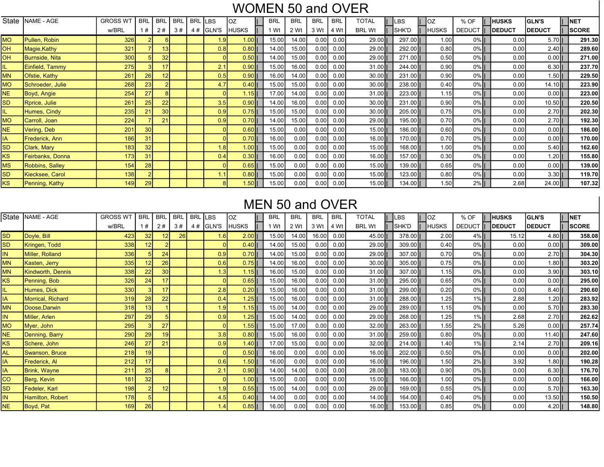# WOMEN 50 and OVER

|           | State   NAME - AGE | <b>GROSS WT</b> | <b>BRL</b>      | <b>BRL</b>      | <b>BRL</b> | <b>BRL</b> | <b>LBS</b>       | loz          | <b>BRL</b> | <b>BRL</b> | <b>BRL</b> | <b>BRL</b> | TOTAL         | LBS      | OZ.          | % OF               | <b>HUSKS</b>   | <b>GLN'S</b>  | <b>NET</b>   |
|-----------|--------------------|-----------------|-----------------|-----------------|------------|------------|------------------|--------------|------------|------------|------------|------------|---------------|----------|--------------|--------------------|----------------|---------------|--------------|
|           |                    | w/BRL           | #               | 2#              | 3#         | 4#         | GLN'S            | <b>HUSKS</b> | Wt         | 2 Wt       | 3 Wt       | 4 Wt       | <b>BRL Wt</b> | SHK'D    | <b>HUSKS</b> | <b>DEDUCT</b><br>T | <b>IDEDUCT</b> | <b>DEDUCT</b> | <b>SCORE</b> |
| <b>MO</b> | Pullen, Robin      | <b>326</b>      |                 |                 |            |            | 1.9 <sub>l</sub> | $1.00$       | 15.00      | 14.00      | 0.00       | 0.00       | 29.00         | 297.00   | 1.00         | $0\%$              | 0.00           | 5.70          | 291.30       |
| OH        | Magie, Kathy       | 321             |                 | 13              |            |            | 0.8              | $0.80$       | 14.00      | 15.00      | 0.00       | 0.00       | 29.00         | 292.00   | 0.80         | $0\%$              | 0.00           | $2.40$        | 289.60       |
| OH        | Burnside, Nita     | 300             |                 | 32              |            |            |                  | $0.50$       | 14.00      | 15.00      | 0.00       | 0.00       | 29.00         | 271.00   | 0.50         | $0\%$              | 0.00           | $0.00$        | 271.00       |
| L.        | Einfield, Tammy    | <b>275</b>      |                 | 17              |            |            | 2.1              | $0.90$       | 15.00      | 16.00      | 0.00       | 0.00       | $31.00$       | 244.00   | 0.90         | $0\%$              | 0.00           | $6.30$        | 237.70       |
| <b>MN</b> | Ofstie, Kathy      | 261             | 26              | 12              |            |            | 0.5              | $0.90$       | 16.00      | 14.00      | 0.00       | 0.00       | $30.00$       | 231.00   | 0.90         | $0\%$              | 0.00           | $1.50$        | 229.50       |
| <b>MO</b> | Schroeder, Julie   | 268             | 23              |                 |            |            | 4.7              | $0.40$       | 15.00      | 15.00      | 0.00       | 0.00       | $30.00$       | 238.001  | 0.40         | $0\%$              | 0.00           | $14.10$       | 223.90       |
| <b>NE</b> | Boyd, Angie        | 254             | 27              |                 |            |            |                  | $1.15$       | 17.00      | 14.00      | 0.00       | 0.00       | $31.00$       | 223.00   | 1.15         | $0\%$              | 0.00           | $0.00$        | 223.00       |
| <b>SD</b> | Rprice, Julie      | 261             | 25              | 22              |            |            | 3.5              | $0.90$       | 14.00      | 16.00      | 0.00       | 0.00       | $30.00$       | 231.00   | 0.90         | $0\%$              | 0.00           | $10.50$       | 220.50       |
| L.        | Humes, Cindy       | 235             | 21              | 30 <sup>°</sup> |            |            | 0.9              | $0.75$       | 15.00      | 15.00      | 0.00       | 0.00       | $30.00$       | 205.00   | 0.75         | $0\%$              | 0.00           | $2.70$        | 202.30       |
| <b>MO</b> | Carroll, Joan      | 224             |                 | 21              |            |            | 0.9              | $0.70$       | 14.00      | 15.00      | 0.00       | 0.00       | $29.00$       | $195.00$ | 0.70         | $0\%$              | 0.00           | $2.70$        | 192.30       |
| <b>NE</b> | Vering, Deb        | 201             | 30 <sup>°</sup> |                 |            |            |                  | $0.60$       | 15.00      | 0.00       | 0.00       | 0.00       | $15.00$       | $186.00$ | 0.60         | $0\%$              | 0.00           | $0.00$        | 186.00       |
| IA.       | Frederick, Ann     | 186             | 31              |                 |            |            |                  | $0.70$       | 16.00      | 0.00       | 0.00       | 0.00       | $16.00$       | 170.00   | 0.70         | $0\%$              | 0.00           | $0.00$        | 170.00       |
| <b>SD</b> | Clark, Mary        | 183             | 32              |                 |            |            | 1.8              | $1.00$       | 15.00      | 0.00       | 0.00       | 0.00       | $15.00$       | 168.00   | 1.00         | $0\%$              | 0.00           | $5.40$        | 162.60       |
| ΚS        | Feirbanks, Donna   | 173             | 31              |                 |            |            | 0.4              | $0.30$       | 16.00      | 0.00       | 0.00       | 0.00       | $16.00$       | $157.00$ | 0.30         | $0\%$              | 0.00           | $1.20$        | 155.80       |
| МS        | Robbins, Salley    | 154             | 28              |                 |            |            |                  | $0.65$       | 15.00      | 0.00       | 0.00       | 0.00       | $15.00$       | 139.00   | 0.65         | $0\%$              | 0.00           | $0.00$        | 139.00       |
| <b>SD</b> | Kiecksee, Carol    | 138             |                 |                 |            |            |                  | $0.80$       | 15.00      | 0.00       | 0.00       | 0.00       | $15.00$       | $123.00$ | 0.80         | $0\%$              | 0.00           | $3.30$        | 119.70       |
| ΚS        | Penning, Kathy     | 149             | 29              |                 |            |            |                  | $1.50$       | 15.00      | 0.00       | 0.00       | 0.00       | $15.00$       | 134.00   | 1.50         | $2\%$              | 2.68           | $24.00$       | 107.32       |

### MEN 50 and OVER

| State     | NAME - AGE               | <b>GROSS WT</b>  | <b>BRL</b>      | <b>BRL</b>      | <b>BRL</b> | <b>BRL</b> | <b>LBS</b>    | ΟZ    | <b>BRL</b> | <b>BRL</b>     | <b>BRL</b> | <b>BRL</b> | TOTAL         | _BS      | TOZ   | % OF          | <b>HUSKS</b>  | <b>GLN'S</b>  | <b>NET</b>   |
|-----------|--------------------------|------------------|-----------------|-----------------|------------|------------|---------------|-------|------------|----------------|------------|------------|---------------|----------|-------|---------------|---------------|---------------|--------------|
|           |                          | w/BRL            | #               | 2#              | 3#         | 4#         | <b>IGLN'S</b> | HUSKS | 1 Wt       | 2 Wt           | 3 Wt       | 4 Wt       | <b>BRL Wt</b> | ISHK'D   | HUSKS | <b>DEDUCT</b> | <b>DEDUCT</b> | <b>DEDUCT</b> | <b>SCORE</b> |
| SD        | Doyle, Bill              | 423              | 32              | 12 <sup>2</sup> | 26         |            | 1.6           | 2.00  |            | 15.00<br>14.00 | 16.00      | 0.00       | 45.00         | 378.00   | 2.00  | $4\%$         | 15.12         | $4.80$        | 358.08       |
| SD        | Kringen, Todd            | 338              | 12              |                 |            |            |               | 0.40  |            | 15.00<br>14.00 | 0.00       | 0.00       | 29.00         | $309.00$ | 0.40  | $0\%$         | 0.00          | 0.0011        | 309.00       |
| IN.       | Miller, Rolland          | 336              |                 | 24              |            |            | 0.9           | 0.70  |            | 15.00<br>14.00 | 0.00       | 0.00       | 29.00         | 307.00   | 0.70  | $0\%$         | 0.00          | $2.70$        | 304.30       |
| ΜN        | Kasten, Jerry            | 335              | 12              | 26              |            |            | 0.6           | 0.75  |            | 14.00<br>16.00 | 0.00       | 0.00       | 30.00         | $305.00$ | 0.75  | $0\%$         | 0.00          | $1.80$        | 303.20       |
| <b>MN</b> | <b>Kindworth, Dennis</b> | 338              | 22              | 30 <sup>1</sup> |            |            | 1.3           | 1.15  |            | 15.00<br>16.00 | 0.00       | 0.00       | 31.00         | 307.00   | 1.15  | $0\%$         | 0.00          | 3.90          | 303.10       |
| KS        | Penning, Bob             | 326              | 24              | 17              |            |            |               | 0.65  |            | 15.00<br>16.00 | 0.00       | 0.00       | 31.00         | 295.00   | 0.65  | $0\%$         | 0.00          | $0.00$        | 295.00       |
|           | Humes, Dick              | 330 <sup>1</sup> |                 | 17              |            |            | 2.8           | 0.20  |            | 15.00<br>16.00 | 0.00       | 0.00       | 31.00         | 299.00   | 0.20  | $0\%$         | 0.00          | 8.40          | 290.60       |
| IA.       | Morrical, Richard        | 319              | 28              | 22              |            |            | 0.4           | 1.25  |            | 15.00<br>16.00 | 0.00       | 0.00       | 31.00         | 288.00   | 1.25  | $1\%$         | 2.88          | 1.201         | 283.92       |
| ΜN        | Doose.Darwin             | 318              | 13              |                 |            |            | 1.9           | 1.15  |            | 14.00<br>15.00 | 0.00       | 0.00       | 29.00         | 289.00   | 1.15  | $0\%$         | 0.00          | $5.70$        | 283.30       |
| IN.       | Miller, Arlen            | 297              | 29              |                 |            |            | 0.9           | 1.25  |            | 15.00<br>14.00 | 0.00       | 0.00       | 29.00         | 268.00   | 1.25  | $1\%$         | 2.68          | $2.70$        | 262.62       |
| <b>MO</b> | Myer, John               | <b>295</b>       |                 | 27              |            |            |               | 1.55  |            | 15.00<br>17.00 | 0.00       | 0.00       | 32.00         | 263.00   | 1.55  | $2\%$         | 5.26          | 0.00          | 257.74       |
| NE        | Denning, Barry           | 290              | 29              | 19              |            |            | 3.8           | 0.80  |            | 16.00<br>15.00 | 0.00       | 0.00       | 31.00         | 259.00   | 0.80  | $0\%$         | 0.00          | $11.40$       | 247.60       |
| KS        | Schere, John             | 246              | 27              | 21              |            |            | 0.9           | 1.40  |            | 17.00<br>15.00 | 0.00       | 0.00       | 32.00         | $214.00$ | 1.40  | $1\%$         | 2.14          | $2.70$        | 209.16       |
| AL        | Swanson, Bruce           | 218              | 19 <sup>1</sup> |                 |            |            |               | 0.50  |            | 16.00<br>0.00  | 0.00       | 0.00       | 16.00         | $202.00$ | 0.50  | $0\%$         | 0.00          | $0.00$        | 202.00       |
| ΙA        | Frederick, Al            | 212              | 17              |                 |            |            | 0.6           | 1.50  |            | 16.00<br>0.00  | 0.00       | 0.00       | 16.00         | 196.00   | 1.50  | $2\%$         | 3.92          | $1.80$        | 190.28       |
| ΙA        | Brink, Wayne             | 211              | 25              | 8 <sup>1</sup>  |            |            | 2.1           | 0.90  |            | 14.00<br>14.00 | 0.00       | 0.00       | 28.00         | $183.00$ | 0.90  | $0\%$         | 0.00          | 6.30          | 176.70       |
| CО        | Berg, Kevin              | 181              | 32              |                 |            |            |               | 1.00  |            | 15.00<br>0.00  | 0.00       | 0.00       | 15.00         | $166.00$ | 1.00  | $0\%$         | 0.00          | $0.00$        | 166.00       |
| SD        | Fedeler, Karl            | <b>1981</b>      |                 | 12              |            |            | 1.9           | 0.55  |            | 15.00<br>14.00 | 0.00       | 0.00       | 29.00         | $169.00$ | 0.55  | $0\%$         | 0.00          | $5.70$        | 163.30       |
| IN.       | Hamilton, Robert         | <b>178</b>       |                 |                 |            |            | 4.5           | 0.40  |            | 14.00<br>0.00  | 0.00       | 0.00       | 14.00         | 164.00   | 0.40  | $0\%$         | 0.00          | 13.50         | 150.50       |
| NE.       | Boyd, Pat                | 169              | 26              |                 |            |            | 1.4           | 0.85  |            | 16.00<br>0.00  | 0.00       | 0.00       | 16.00         | $153.00$ | 0.85  | $0\%$         | 0.00          | 4.20          | 148.80       |